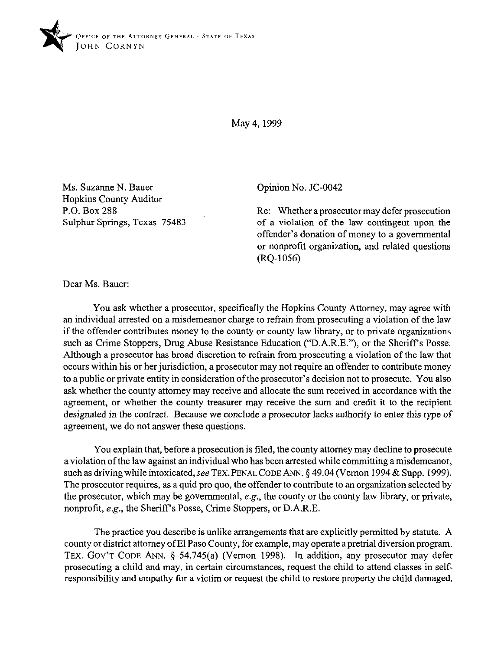

May 4,1999

Ms. Suzanne N. Bauer Hopkins County Auditor P.O. Box 288 Sulphur Springs, Texas 75483 Opinion No. JC-0042

Re: Whether a prosecutor may defer prosecution of a violation of the law contingent upon the offender's donation of money to a governmental or nonprofit organization, and related questions (RQ-1056)

Dear Ms. Bauer:

You ask whether a prosecutor, specifically the Hopkins County Attorney, may agree with an individual arrested on a misdemeanor charge to refrain from prosecuting a violation of the law if the offender contributes money to the county or county law library, or to private organizations such as Crime Stoppers, Drug Abuse Resistance Education ("D.A.R.E."), or the Sheriff's Posse. Although a prosecutor has broad discretion to refrain from prosecuting a violation of the law that occurs within his or her jurisdiction, a prosecutor may not require an offender to contribute money to a public or private entity in consideration of the prosecutor's decision not to prosecute. You also ask whether the county attorney may receive and allocate the sum received in accordance with the agreement, or whether the county treasurer may receive the sum and credit it to the recipient designated in the contract. Because we conclude a prosecutor lacks authority to enter this type of agreement, we do not answer these questions.

You explain that, before a prosecution is filed, the county attorney may decline to prosecute a violation of the law against an individual who has been arrested while committing a misdemeanor, such as driving while intoxicated, see TEX. PENAL CODE ANN. § 49.04 (Vernon 1994 & Supp. 1999). The prosecutor requires, as a quid pro quo, the offender to contribute to an organization selected by the prosecutor, which may be governmental, e.g., the county or the county law library, or private, nonprofit, e.g., the Sheriff's Posse, Crime Stoppers, or D.A.R.E.

The practice you describe is unlike arrangements that are explicitly permitted by statute. A county or district attorney of El Paso County, for example, may operate a pretrial diversion program. TEX. GOV'T CODE ANN.  $\S$  54.745(a) (Vernon 1998). In addition, any prosecutor may defer prosecuting a child and may, in certain circumstances, request the child to attend classes in selfresponsibility and empathy for a victim or request the child to restore property the child damaged.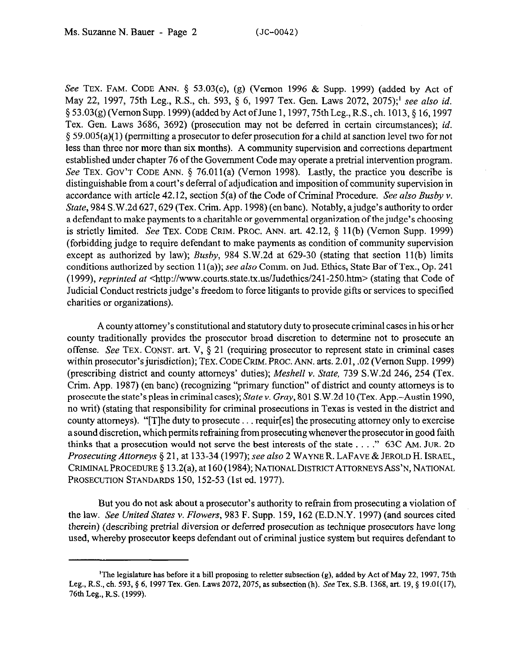See TEX. FAM. CODE ANN. \$ 53.03(e), (g) (Vernon 1996 & Supp. 1999) (added by Act of May 22, 1997, 75th Leg., R.S., ch. 593, 5 6, 1997 Tex. Gen. Laws 2072, 2075);' see *also id.*  § 53.03(g) (Vernon Supp. 1999) (added by Act of June 1, 1997, 75th Leg., R.S., ch. 1013, § 16, 1997 Tex. Gen. Laws 3686, 3692) (prosecution may not be deferred in certain circumstances); *id.*  \$59.005(a)( 1) (permitting a prosecutor to defer prosecution for a child at sanction level two for not less than three nor more than six months). A community supervision and corrections department established under chapter 76 of fhe Government Code may operate a pretrial intervention program. See TEX. GOV'T CODE ANN. § 76.011(a) (Vernon 1998). Lastly, the practice you describe is distinguishable from a court's deferral of adjudication and imposition of community supervision in accordance with article 42.12, section 5(a) of the Code of Criminal Procedure. See *also Busby v. State,* 984 S.W.2d 627,629 (Tex. Crim. App. 1998) (en bane). Notably, ajudge's authority to order a defendant to make payments to a charitable or governmental organization of the judge's choosing is strictly limited. See TEX. CODE CRIM. PROC. ANN. art.  $42.12$ ,  $\S$  11(b) (Vernon Supp. 1999) (forbidding judge to require defendant to make payments as condition of community supervision except as authorized by law); *Busby, 984* S.W.2d at 629-30 (stating that section 11(b) limits conditions authorized by section  $11(a)$ ; see also Comm. on Jud. Ethics, State Bar of Tex., Op. 241 (1999), *reprinted at* <http://www.courts.state.tx.us/Judethics/241-25O.htm> (stating that Code of Judicial Conduct restricts judge's freedom to force litigants to provide gifts or services to specified charities or organizations).

A county attorney's constitutional and statutory duty to prosecute criminal cases in his or her county traditionally provides the prosecutor broad discretion to determine not to prosecute an offense. See TEX. CONST. art. V,  $\S 21$  (requiring prosecutor to represent state in criminal cases within prosecutor's jurisdiction); TEX. CODE GRIM. PROC. ANN. arts. 2.01, .02 (Vernon Supp. 1999) (prescribing district and county attorneys' duties); *Meshell v. State, 739* S.W.2d 246, 254 (Tex. Crim. App. 1987) (en bane) (recognizing "primary function" of district and county attorneys is to prosecute the state's pleas in criminal cases); *State* Y. Gray, 801 S.W.2d 10 (Tex. App.-Austin 1990, no writ) (stating that responsibility for criminal prosecutions in Texas is vested in the district and county attorneys). "[T] he duty to prosecute  $\dots$  requir[es] the prosecuting attorney only to exercise a sound discretion, which permits refraining from prosecuting whenever the prosecutor in good faith thinks that a prosecution would not serve the best interests of the state  $\dots$   $\cdot$  63C AM. JUR. 2D *Prosecuting Attorneys* 5 21, at 133-34 (1997); see *also 2* WAYNER. LAFAVE & JEROLD H. ISRAEL, CRIMINAL PROCEDURE § 13.2(a), at 160 (1984); NATIONAL DISTRICT ATTORNEYS ASS'N, NATIONAL PROSECUTION STANDARDS 150, 152-53 (1st ed. 1977).

But you do not ask about a prosecutor's authority to refrain from prosecuting a violation of the law. *See United States* v. *Flowers,* 983 F. Supp. 159, 162 (E.D.N.Y. 1997) (and sources cited therein) (describing pretrial diversion or deferred prosecution as technique prosecutors have long used, whereby prosecutor keeps defendant out of criminal justice system but requires defendant to

<sup>&#</sup>x27;The legislature has before it a bill proposing to reletter subsection (g), added by Act of May 22, 1997,75tb Leg., R.S., ch. 593, § 6, 1997 Tex. Gen. Laws 2072, 2075, as subsection (h). See Tex. S.B. 1368, art. 19, § 19.01(17), 76th Leg., R.S. (1999).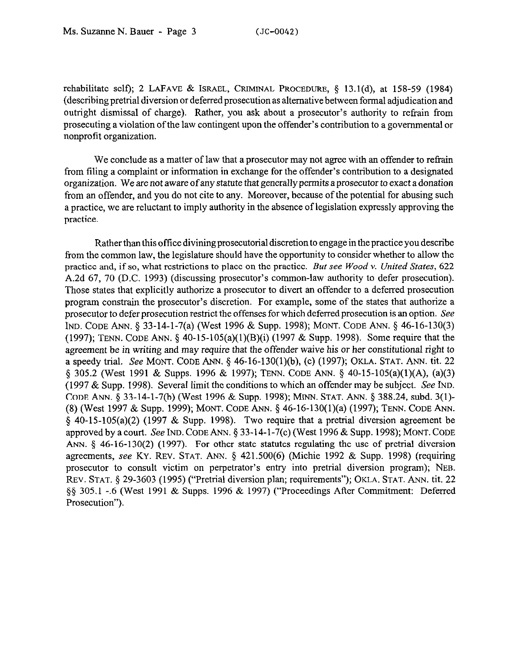rehabilitate self); 2 LAFAVE & ISRAEL, CRIMINAL PROCEDURE, § 13.1(d), at 158-59 (1984) (describing pretrial diversion or deferred prosecution as alternative between formal adjudication and outright dismissal of charge). Rather, you ask about a prosecutor's authority to refrain from prosecuting a violation of the law contingent upon the offender's contribution to a governmental or nonprofit organization.

We conclude as a matter of law that a prosecutor may not agree with an offender to refrain from filing a complaint or information in exchange for the offender's contribution to a designated organization. We are not aware of any statute that generally permits a prosecutor to exact a donation from an offender, and you do not cite to any. Moreover, because of the potential for abusing such a practice, we are reluctant to imply authority in the absence of legislation expressly approving the practice.

Rather than this office divining prosecutorial discretion to engage in the practice you describe from the common law, the legislature should have the opportunity to consider whether to allow the practice and, if so, what restrictions to place on the practice. *But see Wood Y. United States, 622*  A.2d 67, 70 (D.C. 1993) (discussing prosecutor's common-law authority to defer prosecution). Those states that explicitly authorize a prosecutor to divert an offender to a deferred prosecution program constrain the prosecutor's discretion. For example, some of the states that authorize a prosecutor to defer prosecution restrict the offenses for which deferred prosecution is an option. See IND. CODE ANN. 5 33-14-1-7(a) (West 1996 & Supp. 1998); MONT. CODE ANN. 8 46-16-130(3) (1997); TENN. CODE ANN.  $\S$  40-15-105(a)(1)(B)(i) (1997 & Supp. 1998). Some require that the agreement be in writing and may require that the offender *waive* his or her constitutional right to a speedy trial. See MONT. CODE ANN. 5 46-16-130(1)(b), (c) (1997); OKLA. STAT. ANN. tit. 22 5 305.2 (West 1991 & Supps. 1996 & 1997); TENN. CODE ANN. 9 40-15-105(a)(l)(A), (a)(3) (1997 & Supp. 1998). Several limit the conditions to which an offender may be subject. See IND. CODE ANN. § 33-14-1-7(b) (West 1996 & Supp. 1998); MINN. STAT. ANN. § 388.24, subd. 3(1)-(8) (West 1997 & Supp. 1999); MONT. CODE ANN. 5 46-16-130(1)(a) (1997); TENN. CODE ANN. § 40-15-105(a)(2) (1997 & Supp. 1998). Two require that a pretrial diversion agreement be approved by a court. See IND. CODE ANN.  $\S 33-14-1-7(c)$  (West 1996 & Supp. 1998); MONT. CODE ANN.  $\S$  46-16-130(2) (1997). For other state statutes regulating the use of pretrial diversion agreements, see KY. REV. STAT. ANN. § 421.500(6) (Michie 1992 & Supp. 1998) (requiring prosecutor to consult victim on perpetrator's entry into pretrial diversion program); NEB. REV. STAT. § 29-3603 (1995) ("Pretrial diversion plan; requirements"); OKLA. STAT. ANN. tit. 22 \$9 305.1 -.6 (West 1991 & Supps. 1996 & 1997) ("Proceedings After Commitment: Deferred Prosecution").